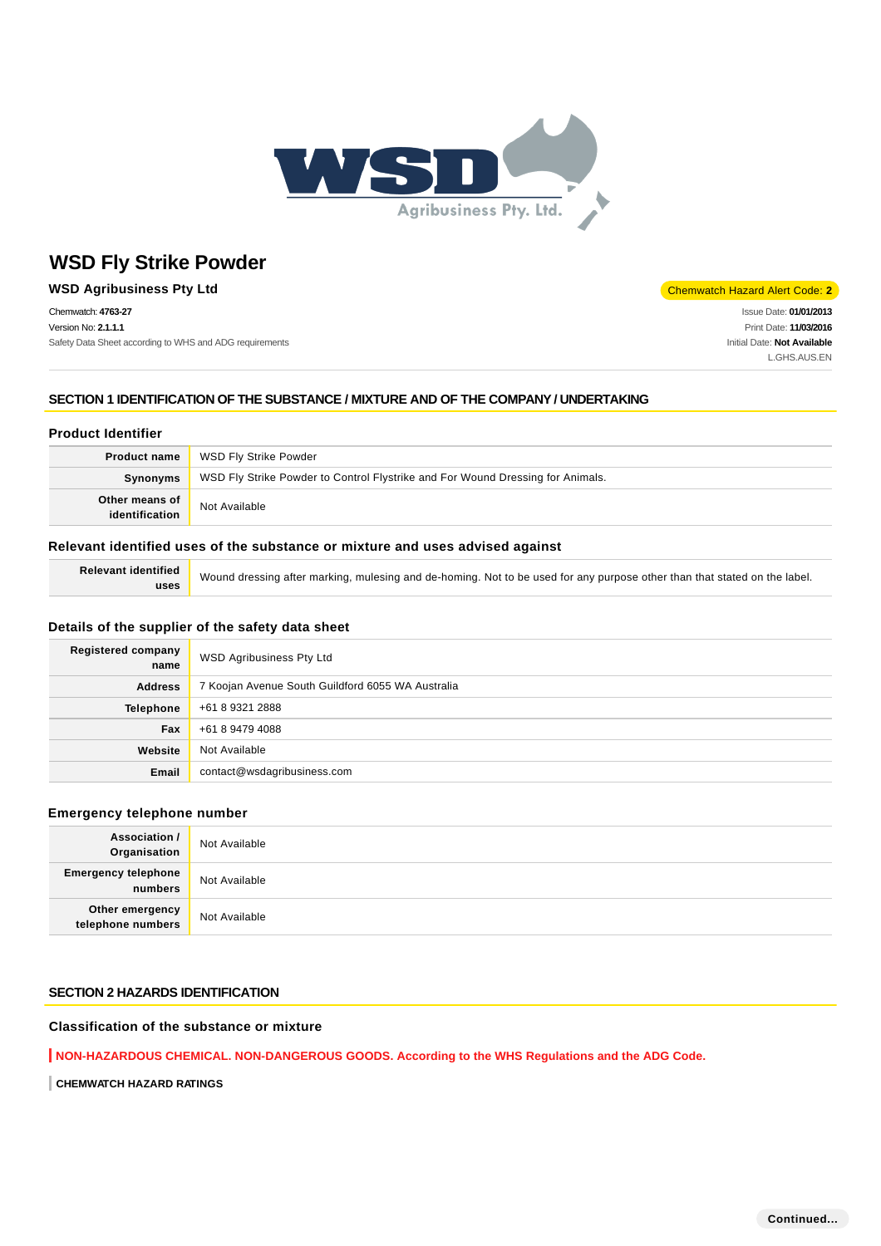

#### **WSD Agribusiness Pty Ltd** Chemwatch Hazard Alert Code: 2

Chemwatch: **4763-27** Version No: **2.1.1.1** Safety Data Sheet according to WHS and ADG requirements

Issue Date: **01/01/2013** Print Date: **11/03/2016** Initial Date: **Not Available** L.GHS.AUS.EN

## **SECTION 1 IDENTIFICATION OF THE SUBSTANCE / MIXTURE AND OF THE COMPANY / UNDERTAKING**

#### **Product Identifier**

| <b>Product name</b>              | WSD Fly Strike Powder                                                          |
|----------------------------------|--------------------------------------------------------------------------------|
| <b>Synonyms</b>                  | WSD Fly Strike Powder to Control Flystrike and For Wound Dressing for Animals. |
| Other means of<br>identification | Not Available                                                                  |

#### **Relevant identified uses of the substance or mixture and uses advised against**

**Relevant identified uses**

Wound dressing after marking, mulesing and de-homing. Not to be used for any purpose other than that stated on the label.

## **Details of the supplier of the safety data sheet**

| <b>Registered company</b><br>name | WSD Agribusiness Pty Ltd                          |
|-----------------------------------|---------------------------------------------------|
| <b>Address</b>                    | 7 Koojan Avenue South Guildford 6055 WA Australia |
| <b>Telephone</b>                  | +61 8 9321 2888                                   |
| Fax                               | +61 8 9479 4088                                   |
| Website                           | Not Available                                     |
| Email                             | contact@wsdagribusiness.com                       |

#### **Emergency telephone number**

| <b>Association /</b><br>Organisation    | Not Available |
|-----------------------------------------|---------------|
| <b>Emergency telephone</b><br>  numbers | Not Available |
| Other emergency<br>telephone numbers    | Not Available |

#### **SECTION 2 HAZARDS IDENTIFICATION**

## **Classification of the substance or mixture**

**NON-HAZARDOUS CHEMICAL. NON-DANGEROUS GOODS. According to the WHS Regulations and the ADG Code.**

**CHEMWATCH HAZARD RATINGS**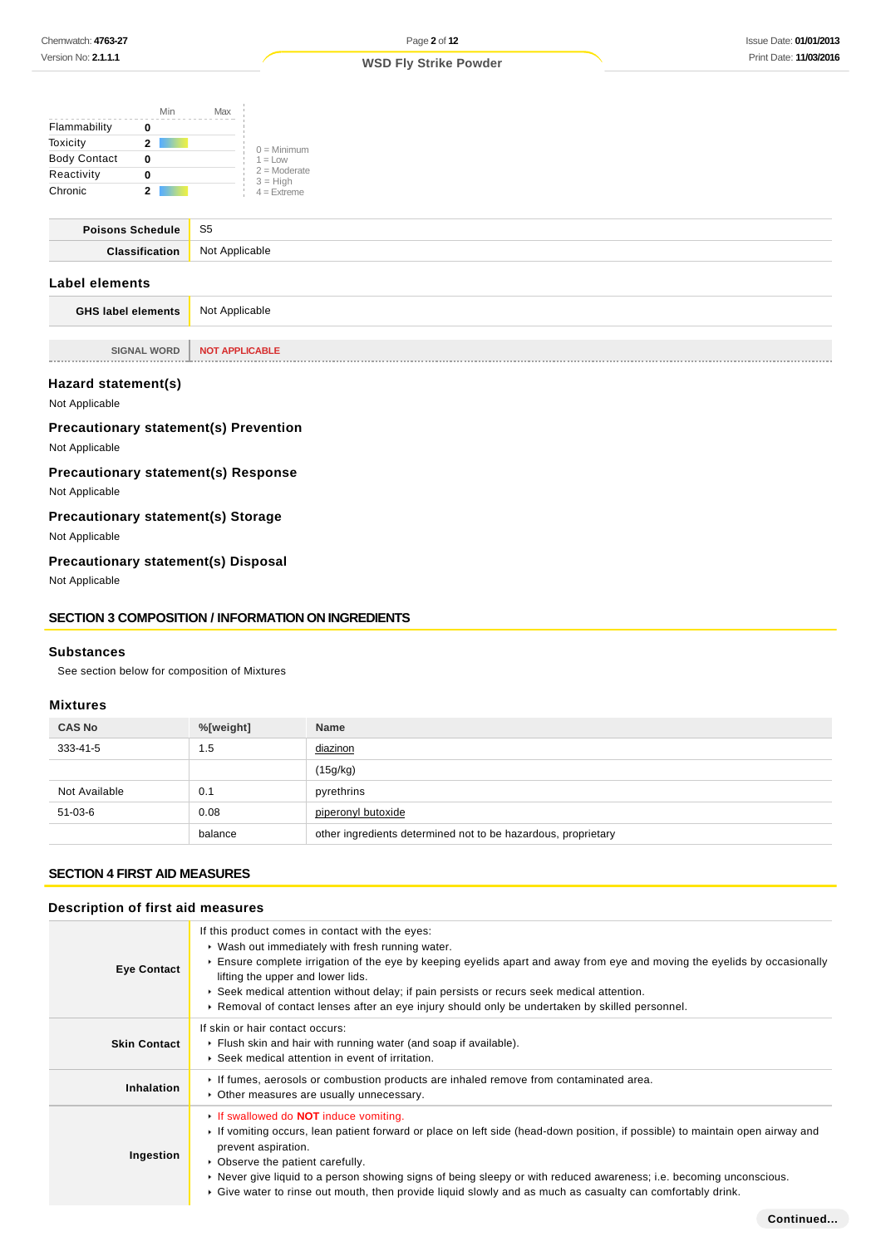|                     | Min | Max |                              |
|---------------------|-----|-----|------------------------------|
| Flammability        |     |     |                              |
| Toxicity            | 2   |     | $0 =$ Minimum                |
| <b>Body Contact</b> | 0   |     | $1 = 1$ OW                   |
| Reactivity          |     |     | $2 =$ Moderate<br>$3 = High$ |
| Chronic             |     |     | $4 =$ Extreme                |

| Poisons Schedule | S <sub>5</sub>     |
|------------------|--------------------|
| Clocoific        | Not.<br>Annlicahla |
|                  |                    |

## **Label elements**

**GHS label elements** Not Applicable

**SIGNAL WORD NOT APPLICABLE** 

#### **Hazard statement(s)**

Not Applicable

## **Precautionary statement(s) Prevention**

Not Applicable

## **Precautionary statement(s) Response**

Not Applicable

## **Precautionary statement(s) Storage**

Not Applicable

## **Precautionary statement(s) Disposal**

Not Applicable

#### **SECTION 3 COMPOSITION / INFORMATION ON INGREDIENTS**

#### **Substances**

See section below for composition of Mixtures

## **Mixtures**

| <b>CAS No</b> | %[weight] | <b>Name</b>                                                   |
|---------------|-----------|---------------------------------------------------------------|
| 333-41-5      | 1.5       | diazinon                                                      |
|               |           | (15g/kg)                                                      |
| Not Available | 0.1       | pyrethrins                                                    |
| 51-03-6       | 0.08      | piperonyl butoxide                                            |
|               | balance   | other ingredients determined not to be hazardous, proprietary |

## **SECTION 4 FIRST AID MEASURES**

#### **Description of first aid measures**

| <b>Eye Contact</b>  | If this product comes in contact with the eyes:<br>▶ Wash out immediately with fresh running water.<br>Ensure complete irrigation of the eye by keeping eyelids apart and away from eye and moving the eyelids by occasionally<br>lifting the upper and lower lids.<br>▶ Seek medical attention without delay; if pain persists or recurs seek medical attention.<br>► Removal of contact lenses after an eye injury should only be undertaken by skilled personnel.                         |
|---------------------|----------------------------------------------------------------------------------------------------------------------------------------------------------------------------------------------------------------------------------------------------------------------------------------------------------------------------------------------------------------------------------------------------------------------------------------------------------------------------------------------|
| <b>Skin Contact</b> | If skin or hair contact occurs:<br>Flush skin and hair with running water (and soap if available).<br>▶ Seek medical attention in event of irritation.                                                                                                                                                                                                                                                                                                                                       |
| Inhalation          | If fumes, aerosols or combustion products are inhaled remove from contaminated area.<br>Other measures are usually unnecessary.                                                                                                                                                                                                                                                                                                                                                              |
| Ingestion           | If swallowed do <b>NOT</b> induce vomiting.<br>► If vomiting occurs, lean patient forward or place on left side (head-down position, if possible) to maintain open airway and<br>prevent aspiration.<br>• Observe the patient carefully.<br>► Never give liquid to a person showing signs of being sleepy or with reduced awareness; i.e. becoming unconscious.<br>$\triangleright$ Give water to rinse out mouth, then provide liquid slowly and as much as casualty can comfortably drink. |
|                     | Continued                                                                                                                                                                                                                                                                                                                                                                                                                                                                                    |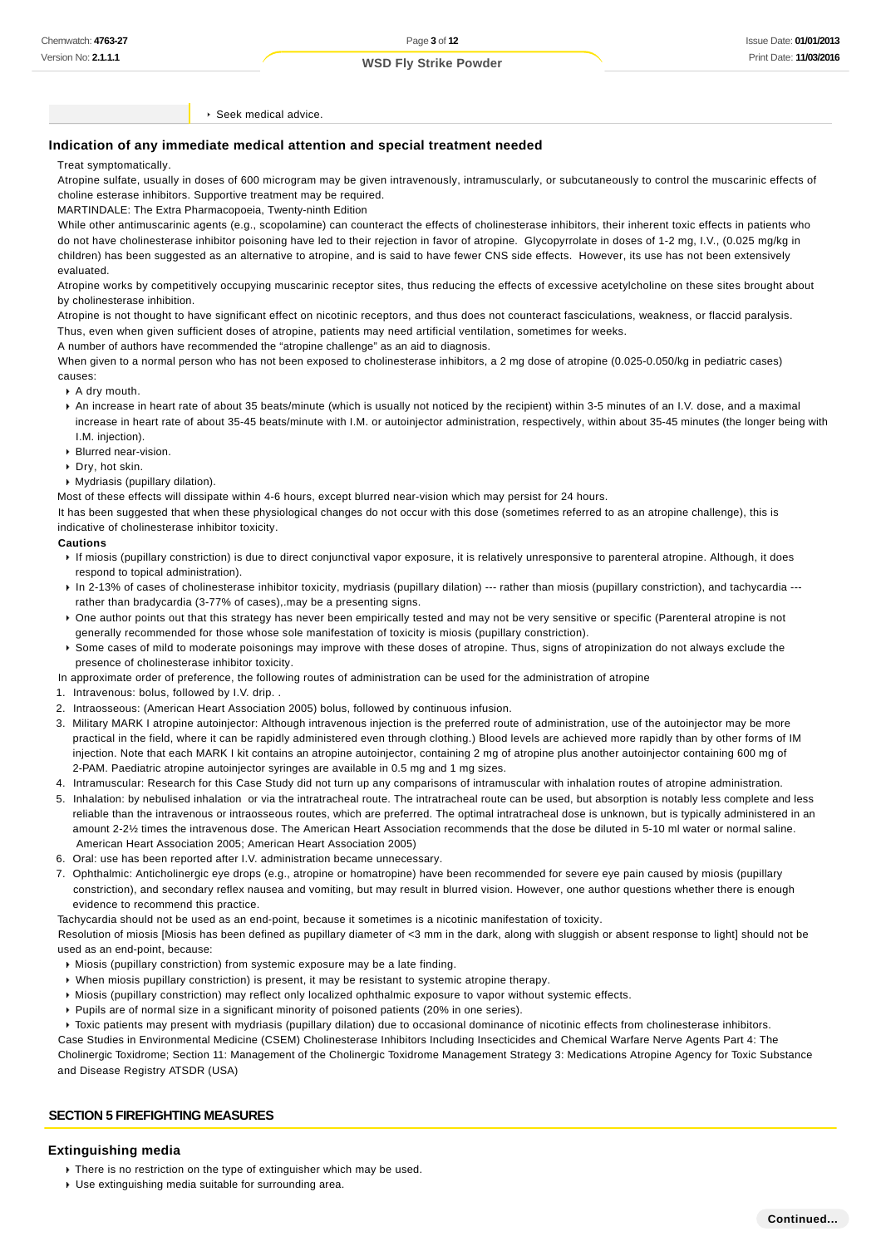Seek medical advice.

#### **Indication of any immediate medical attention and special treatment needed**

#### Treat symptomatically.

Atropine sulfate, usually in doses of 600 microgram may be given intravenously, intramuscularly, or subcutaneously to control the muscarinic effects of choline esterase inhibitors. Supportive treatment may be required.

MARTINDALE: The Extra Pharmacopoeia, Twenty-ninth Edition

While other antimuscarinic agents (e.g., scopolamine) can counteract the effects of cholinesterase inhibitors, their inherent toxic effects in patients who do not have cholinesterase inhibitor poisoning have led to their rejection in favor of atropine. Glycopyrrolate in doses of 1-2 mg, I.V., (0.025 mg/kg in children) has been suggested as an alternative to atropine, and is said to have fewer CNS side effects. However, its use has not been extensively evaluated.

Atropine works by competitively occupying muscarinic receptor sites, thus reducing the effects of excessive acetylcholine on these sites brought about by cholinesterase inhibition.

Atropine is not thought to have significant effect on nicotinic receptors, and thus does not counteract fasciculations, weakness, or flaccid paralysis. Thus, even when given sufficient doses of atropine, patients may need artificial ventilation, sometimes for weeks.

A number of authors have recommended the "atropine challenge" as an aid to diagnosis.

When given to a normal person who has not been exposed to cholinesterase inhibitors, a 2 mg dose of atropine (0.025-0.050/kg in pediatric cases) causes:

- $\rightarrow$  A dry mouth.
- An increase in heart rate of about 35 beats/minute (which is usually not noticed by the recipient) within 3-5 minutes of an I.V. dose, and a maximal increase in heart rate of about 35-45 beats/minute with I.M. or autoiniector administration, respectively, within about 35-45 minutes (the longer being with I.M. injection).
- Blurred near-vision.
- Dry, hot skin.
- Mydriasis (pupillary dilation).

Most of these effects will dissipate within 4-6 hours, except blurred near-vision which may persist for 24 hours.

It has been suggested that when these physiological changes do not occur with this dose (sometimes referred to as an atropine challenge), this is indicative of cholinesterase inhibitor toxicity.

#### **Cautions**

- If miosis (pupillary constriction) is due to direct conjunctival vapor exposure, it is relatively unresponsive to parenteral atropine. Although, it does respond to topical administration).
- ▶ In 2-13% of cases of cholinesterase inhibitor toxicity, mydriasis (pupillary dilation) --- rather than miosis (pupillary constriction), and tachycardia --rather than bradycardia (3-77% of cases),.may be a presenting signs.
- ▶ One author points out that this strategy has never been empirically tested and may not be very sensitive or specific (Parenteral atropine is not generally recommended for those whose sole manifestation of toxicity is miosis (pupillary constriction). ▶ Some cases of mild to moderate poisonings may improve with these doses of atropine. Thus, signs of atropinization do not always exclude the presence of cholinesterase inhibitor toxicity.
- In approximate order of preference, the following routes of administration can be used for the administration of atropine
- 1. Intravenous: bolus, followed by I.V. drip. .
- 2. Intraosseous: (American Heart Association 2005) bolus, followed by continuous infusion.
- 3. Military MARK I atropine autoinjector: Although intravenous injection is the preferred route of administration, use of the autoinjector may be more practical in the field, where it can be rapidly administered even through clothing.) Blood levels are achieved more rapidly than by other forms of IM injection. Note that each MARK I kit contains an atropine autoinjector, containing 2 mg of atropine plus another autoinjector containing 600 mg of 2-PAM. Paediatric atropine autoinjector syringes are available in 0.5 mg and 1 mg sizes.
- 4. Intramuscular: Research for this Case Study did not turn up any comparisons of intramuscular with inhalation routes of atropine administration.
- 5. Inhalation: by nebulised inhalation or via the intratracheal route. The intratracheal route can be used, but absorption is notably less complete and less reliable than the intravenous or intraosseous routes, which are preferred. The optimal intratracheal dose is unknown, but is typically administered in an amount 2-2½ times the intravenous dose. The American Heart Association recommends that the dose be diluted in 5-10 ml water or normal saline. American Heart Association 2005; American Heart Association 2005)
- 6. Oral: use has been reported after I.V. administration became unnecessary.
- 7. Ophthalmic: Anticholinergic eye drops (e.g., atropine or homatropine) have been recommended for severe eye pain caused by miosis (pupillary constriction), and secondary reflex nausea and vomiting, but may result in blurred vision. However, one author questions whether there is enough evidence to recommend this practice.

Tachycardia should not be used as an end-point, because it sometimes is a nicotinic manifestation of toxicity.

Resolution of miosis [Miosis has been defined as pupillary diameter of <3 mm in the dark, along with sluggish or absent response to light] should not be used as an end-point, because:

- $\triangleright$  Miosis (pupillary constriction) from systemic exposure may be a late finding.
- When miosis pupillary constriction) is present, it may be resistant to systemic atropine therapy.
- Miosis (pupillary constriction) may reflect only localized ophthalmic exposure to vapor without systemic effects.
- Pupils are of normal size in a significant minority of poisoned patients (20% in one series).
- Toxic patients may present with mydriasis (pupillary dilation) due to occasional dominance of nicotinic effects from cholinesterase inhibitors.

Case Studies in Environmental Medicine (CSEM) Cholinesterase Inhibitors Including Insecticides and Chemical Warfare Nerve Agents Part 4: The Cholinergic Toxidrome; Section 11: Management of the Cholinergic Toxidrome Management Strategy 3: Medications Atropine Agency for Toxic Substance and Disease Registry ATSDR (USA)

#### **SECTION 5 FIREFIGHTING MEASURES**

#### **Extinguishing media**

- **There is no restriction on the type of extinguisher which may be used.**
- Use extinguishing media suitable for surrounding area.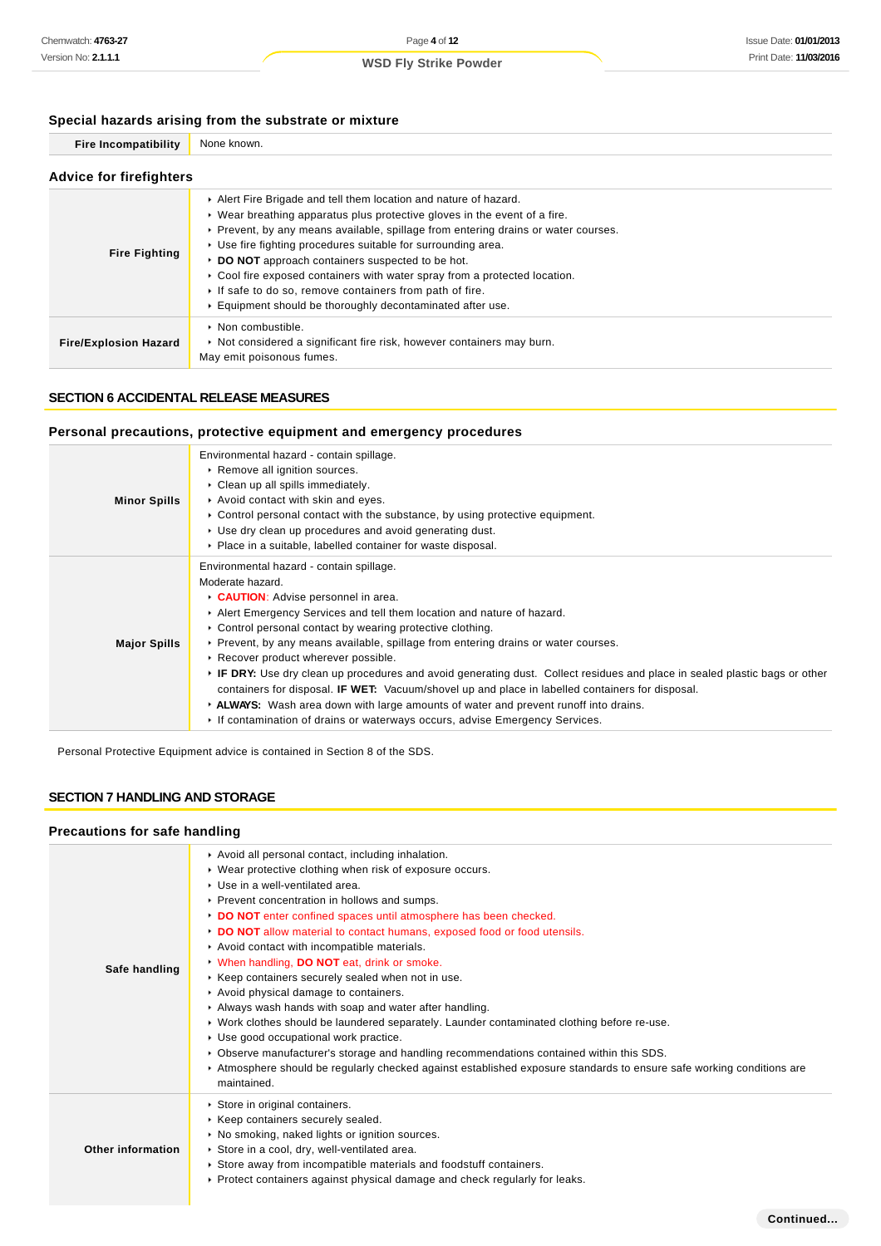## **Special hazards arising from the substrate or mixture**

| opcolar nazaras arismig mom the substrate or mixture |                                                                                                                                                                                                                                                                                                                                                                                                                                                                                                                                                                           |  |  |  |
|------------------------------------------------------|---------------------------------------------------------------------------------------------------------------------------------------------------------------------------------------------------------------------------------------------------------------------------------------------------------------------------------------------------------------------------------------------------------------------------------------------------------------------------------------------------------------------------------------------------------------------------|--|--|--|
| <b>Fire Incompatibility</b>                          | None known.                                                                                                                                                                                                                                                                                                                                                                                                                                                                                                                                                               |  |  |  |
| <b>Advice for firefighters</b>                       |                                                                                                                                                                                                                                                                                                                                                                                                                                                                                                                                                                           |  |  |  |
| <b>Fire Fighting</b>                                 | Alert Fire Brigade and tell them location and nature of hazard.<br>$\triangleright$ Wear breathing apparatus plus protective gloves in the event of a fire.<br>► Prevent, by any means available, spillage from entering drains or water courses.<br>▶ Use fire fighting procedures suitable for surrounding area.<br>DO NOT approach containers suspected to be hot.<br>► Cool fire exposed containers with water spray from a protected location.<br>If safe to do so, remove containers from path of fire.<br>Equipment should be thoroughly decontaminated after use. |  |  |  |
| <b>Fire/Explosion Hazard</b>                         | • Non combustible.<br>► Not considered a significant fire risk, however containers may burn.                                                                                                                                                                                                                                                                                                                                                                                                                                                                              |  |  |  |

## **SECTION 6 ACCIDENTAL RELEASE MEASURES**

## **Personal precautions, protective equipment and emergency procedures**

May emit poisonous fumes.

|                     | Environmental hazard - contain spillage.                                                                                    |
|---------------------|-----------------------------------------------------------------------------------------------------------------------------|
|                     | Remove all ignition sources.                                                                                                |
|                     | Clean up all spills immediately.                                                                                            |
| <b>Minor Spills</b> | Avoid contact with skin and eyes.                                                                                           |
|                     | $\triangleright$ Control personal contact with the substance, by using protective equipment.                                |
|                     | ► Use dry clean up procedures and avoid generating dust.                                                                    |
|                     | • Place in a suitable, labelled container for waste disposal.                                                               |
|                     | Environmental hazard - contain spillage.                                                                                    |
|                     | Moderate hazard.                                                                                                            |
|                     | CAUTION: Advise personnel in area.                                                                                          |
|                     | Alert Emergency Services and tell them location and nature of hazard.                                                       |
|                     | ► Control personal contact by wearing protective clothing.                                                                  |
| <b>Major Spills</b> | ► Prevent, by any means available, spillage from entering drains or water courses.                                          |
|                     | Recover product wherever possible.                                                                                          |
|                     | ► IF DRY: Use dry clean up procedures and avoid generating dust. Collect residues and place in sealed plastic bags or other |
|                     | containers for disposal. <b>IF WET:</b> Vacuum/shovel up and place in labelled containers for disposal.                     |
|                     | ► ALWAYS: Wash area down with large amounts of water and prevent runoff into drains.                                        |
|                     | ► If contamination of drains or waterways occurs, advise Emergency Services.                                                |

Personal Protective Equipment advice is contained in Section 8 of the SDS.

## **SECTION 7 HANDLING AND STORAGE**

## **Precautions for safe handling**

| Safe handling     | Avoid all personal contact, including inhalation.<br>• Wear protective clothing when risk of exposure occurs.<br>▶ Use in a well-ventilated area.<br>▶ Prevent concentration in hollows and sumps.<br>DO NOT enter confined spaces until atmosphere has been checked.<br>DO NOT allow material to contact humans, exposed food or food utensils.<br>Avoid contact with incompatible materials.<br>When handling, DO NOT eat, drink or smoke.<br>▶ Keep containers securely sealed when not in use.<br>Avoid physical damage to containers.<br>Always wash hands with soap and water after handling.<br>▶ Work clothes should be laundered separately. Launder contaminated clothing before re-use.<br>▶ Use good occupational work practice.<br>► Observe manufacturer's storage and handling recommendations contained within this SDS.<br>Atmosphere should be regularly checked against established exposure standards to ensure safe working conditions are<br>maintained. |
|-------------------|--------------------------------------------------------------------------------------------------------------------------------------------------------------------------------------------------------------------------------------------------------------------------------------------------------------------------------------------------------------------------------------------------------------------------------------------------------------------------------------------------------------------------------------------------------------------------------------------------------------------------------------------------------------------------------------------------------------------------------------------------------------------------------------------------------------------------------------------------------------------------------------------------------------------------------------------------------------------------------|
| Other information | Store in original containers.<br>▶ Keep containers securely sealed.<br>▶ No smoking, naked lights or ignition sources.<br>Store in a cool, dry, well-ventilated area.<br>► Store away from incompatible materials and foodstuff containers.<br>► Protect containers against physical damage and check regularly for leaks.                                                                                                                                                                                                                                                                                                                                                                                                                                                                                                                                                                                                                                                     |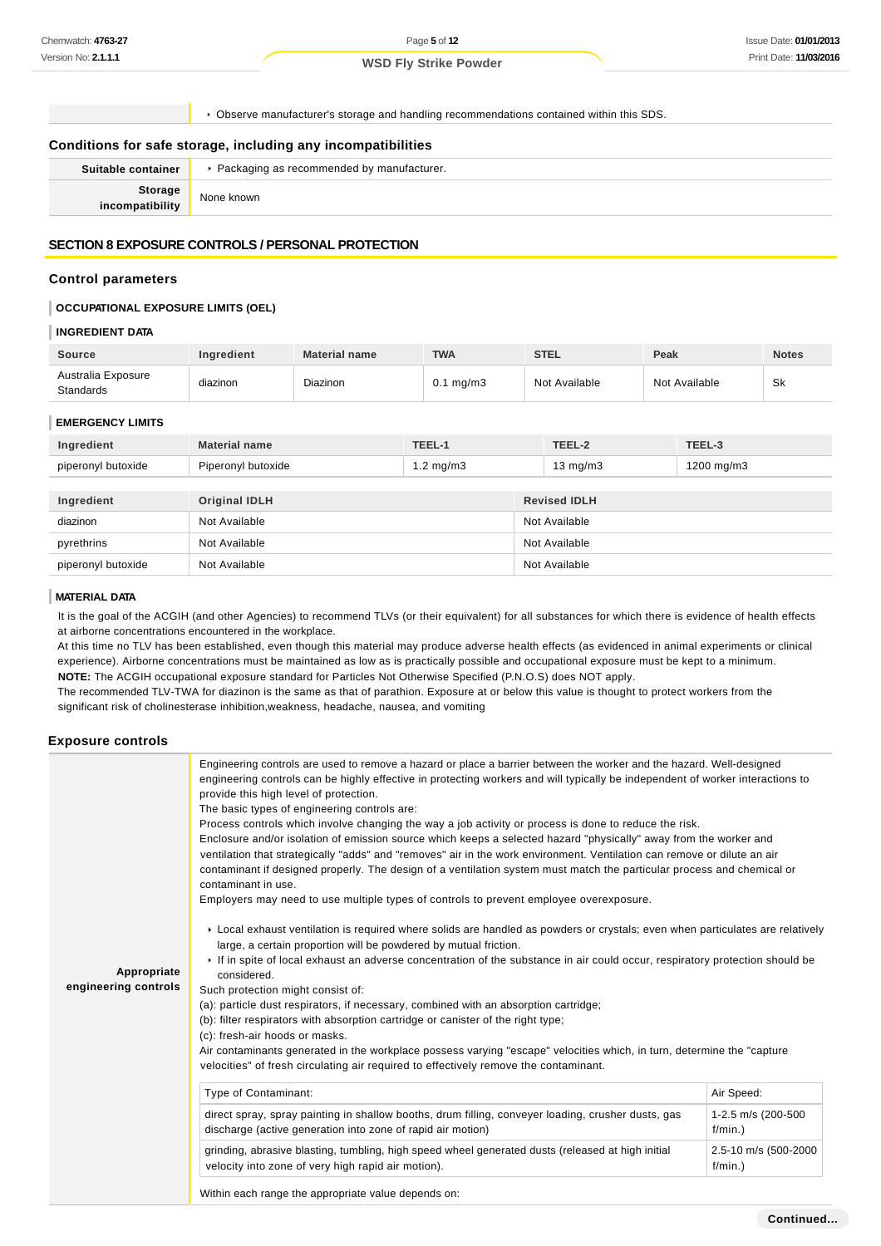Page **5** of **12**

**WSD Fly Strike Powder**

Observe manufacturer's storage and handling recommendations contained within this SDS.

#### **Conditions for safe storage, including any incompatibilities**

| Suitable container           | ▶ Packaging as recommended by manufacturer. |
|------------------------------|---------------------------------------------|
| Storage<br>  incompatibility | None known                                  |
|                              |                                             |

#### **SECTION 8 EXPOSURE CONTROLS / PERSONAL PROTECTION**

#### **Control parameters**

#### **OCCUPATIONAL EXPOSURE LIMITS (OEL)**

#### **INGREDIENT DATA**

| Source                          | <b>Ingredient</b> | <b>Material name</b> | <b>TWA</b>           | <b>STEL</b>   | Peak          | <b>Notes</b> |
|---------------------------------|-------------------|----------------------|----------------------|---------------|---------------|--------------|
| Australia Exposure<br>Standards | diazinon          | <b>Diazinon</b>      | $0.1 \text{ mg/m}$ 3 | Not Available | Not Available | .Sk          |

#### **EMERGENCY LIMITS**

| Ingredient         | <b>Material name</b> | TEEL-1               | TEEL-2               | TEEL-3        |
|--------------------|----------------------|----------------------|----------------------|---------------|
| piperonyl butoxide | Piperonyl butoxide   | $1.2 \text{ mg/m}$ 3 | 13 mg/m $3$          | 1200 mg/m $3$ |
|                    |                      |                      |                      |               |
| Ingredient         | <b>Original IDLH</b> |                      | <b>Revised IDLH</b>  |               |
|                    | <b>ALL AND THEFT</b> |                      | <b>ALCOHOL: 1989</b> |               |

| myrculch           | <b>UNIVERSITY</b> | <b>NGVISGU IDLII</b> |
|--------------------|-------------------|----------------------|
| diazinon           | Not Available     | Not Available        |
| pyrethrins         | Not Available     | Not Available        |
| piperonyl butoxide | Not Available     | Not Available        |

#### **MATERIAL DATA**

It is the goal of the ACGIH (and other Agencies) to recommend TLVs (or their equivalent) for all substances for which there is evidence of health effects at airborne concentrations encountered in the workplace.

At this time no TLV has been established, even though this material may produce adverse health effects (as evidenced in animal experiments or clinical experience). Airborne concentrations must be maintained as low as is practically possible and occupational exposure must be kept to a minimum. **NOTE:** The ACGIH occupational exposure standard for Particles Not Otherwise Specified (P.N.O.S) does NOT apply.

The recommended TLV-TWA for diazinon is the same as that of parathion. Exposure at or below this value is thought to protect workers from the significant risk of cholinesterase inhibition,weakness, headache, nausea, and vomiting

#### **Exposure controls**

|                      | Engineering controls are used to remove a hazard or place a barrier between the worker and the hazard. Well-designed<br>engineering controls can be highly effective in protecting workers and will typically be independent of worker interactions to<br>provide this high level of protection.<br>The basic types of engineering controls are:<br>Process controls which involve changing the way a job activity or process is done to reduce the risk.<br>Enclosure and/or isolation of emission source which keeps a selected hazard "physically" away from the worker and<br>ventilation that strategically "adds" and "removes" air in the work environment. Ventilation can remove or dilute an air<br>contaminant if designed properly. The design of a ventilation system must match the particular process and chemical or<br>contaminant in use.<br>Employers may need to use multiple types of controls to prevent employee overexposure.<br>► Local exhaust ventilation is required where solids are handled as powders or crystals; even when particulates are relatively |                                    |  |
|----------------------|-----------------------------------------------------------------------------------------------------------------------------------------------------------------------------------------------------------------------------------------------------------------------------------------------------------------------------------------------------------------------------------------------------------------------------------------------------------------------------------------------------------------------------------------------------------------------------------------------------------------------------------------------------------------------------------------------------------------------------------------------------------------------------------------------------------------------------------------------------------------------------------------------------------------------------------------------------------------------------------------------------------------------------------------------------------------------------------------|------------------------------------|--|
|                      | large, a certain proportion will be powdered by mutual friction.                                                                                                                                                                                                                                                                                                                                                                                                                                                                                                                                                                                                                                                                                                                                                                                                                                                                                                                                                                                                                        |                                    |  |
|                      | If in spite of local exhaust an adverse concentration of the substance in air could occur, respiratory protection should be                                                                                                                                                                                                                                                                                                                                                                                                                                                                                                                                                                                                                                                                                                                                                                                                                                                                                                                                                             |                                    |  |
| Appropriate          | considered.                                                                                                                                                                                                                                                                                                                                                                                                                                                                                                                                                                                                                                                                                                                                                                                                                                                                                                                                                                                                                                                                             |                                    |  |
| engineering controls | Such protection might consist of:                                                                                                                                                                                                                                                                                                                                                                                                                                                                                                                                                                                                                                                                                                                                                                                                                                                                                                                                                                                                                                                       |                                    |  |
|                      | (a): particle dust respirators, if necessary, combined with an absorption cartridge;                                                                                                                                                                                                                                                                                                                                                                                                                                                                                                                                                                                                                                                                                                                                                                                                                                                                                                                                                                                                    |                                    |  |
|                      | (b): filter respirators with absorption cartridge or canister of the right type;                                                                                                                                                                                                                                                                                                                                                                                                                                                                                                                                                                                                                                                                                                                                                                                                                                                                                                                                                                                                        |                                    |  |
|                      | (c): fresh-air hoods or masks.                                                                                                                                                                                                                                                                                                                                                                                                                                                                                                                                                                                                                                                                                                                                                                                                                                                                                                                                                                                                                                                          |                                    |  |
|                      | Air contaminants generated in the workplace possess varying "escape" velocities which, in turn, determine the "capture"<br>velocities" of fresh circulating air required to effectively remove the contaminant.                                                                                                                                                                                                                                                                                                                                                                                                                                                                                                                                                                                                                                                                                                                                                                                                                                                                         |                                    |  |
|                      | Type of Contaminant:                                                                                                                                                                                                                                                                                                                                                                                                                                                                                                                                                                                                                                                                                                                                                                                                                                                                                                                                                                                                                                                                    | Air Speed:                         |  |
|                      | direct spray, spray painting in shallow booths, drum filling, conveyer loading, crusher dusts, gas<br>discharge (active generation into zone of rapid air motion)                                                                                                                                                                                                                                                                                                                                                                                                                                                                                                                                                                                                                                                                                                                                                                                                                                                                                                                       | 1-2.5 m/s (200-500<br>f/min.)      |  |
|                      | grinding, abrasive blasting, tumbling, high speed wheel generated dusts (released at high initial<br>velocity into zone of very high rapid air motion).                                                                                                                                                                                                                                                                                                                                                                                                                                                                                                                                                                                                                                                                                                                                                                                                                                                                                                                                 | 2.5-10 m/s (500-2000<br>$f/min.$ ) |  |
|                      | Within each range the appropriate value depends on:                                                                                                                                                                                                                                                                                                                                                                                                                                                                                                                                                                                                                                                                                                                                                                                                                                                                                                                                                                                                                                     |                                    |  |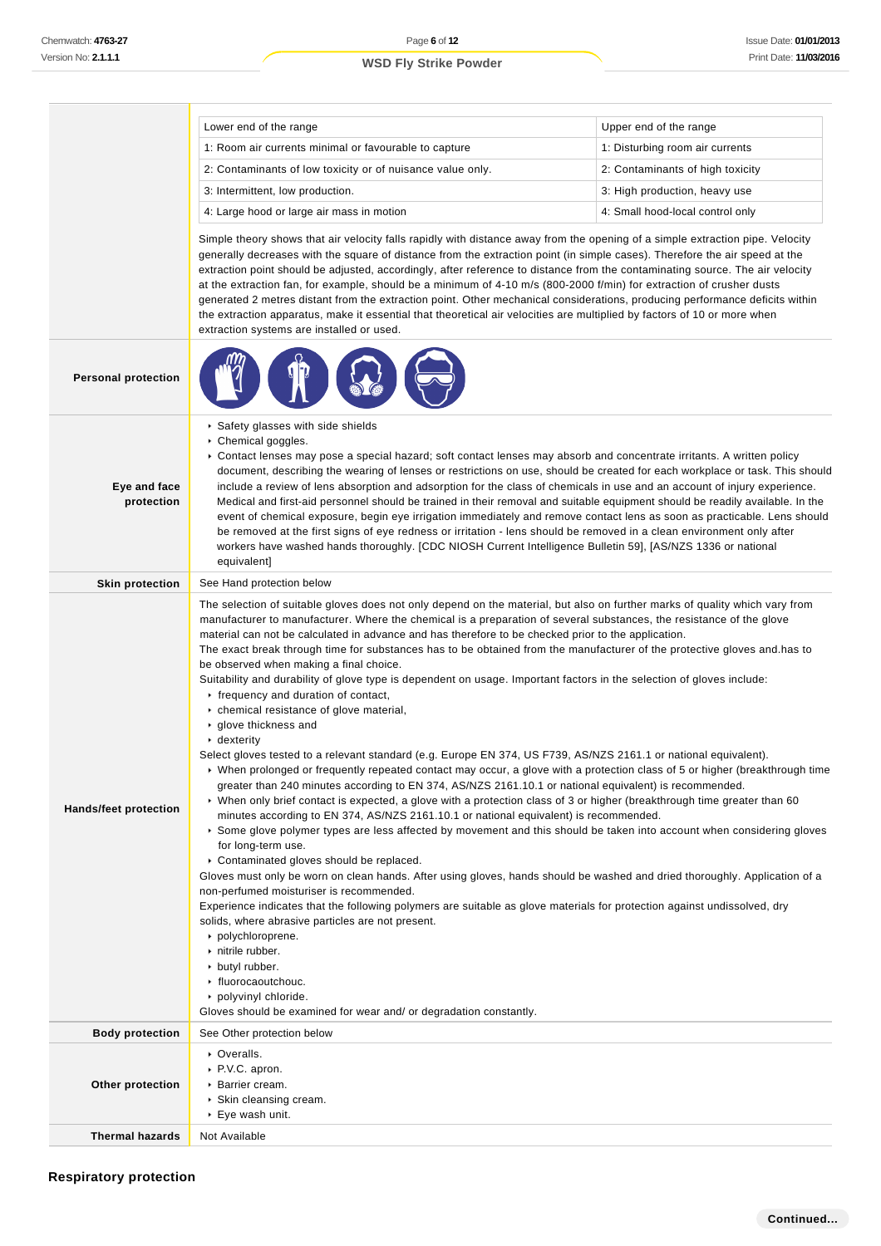|                            | Lower end of the range                                                                                                                                                                                                                                                                                                                                                                                                                                                                                                                                                                                                                                                                                                                                                                                                                                                                                                                                                                                                                                                                                                                                                                                                                                                                                                                                                                                                                                                                                                                                                                                                                                                                                                                                                                                                                                                                                                                                                                                                                                                                                                  | Upper end of the range           |
|----------------------------|-------------------------------------------------------------------------------------------------------------------------------------------------------------------------------------------------------------------------------------------------------------------------------------------------------------------------------------------------------------------------------------------------------------------------------------------------------------------------------------------------------------------------------------------------------------------------------------------------------------------------------------------------------------------------------------------------------------------------------------------------------------------------------------------------------------------------------------------------------------------------------------------------------------------------------------------------------------------------------------------------------------------------------------------------------------------------------------------------------------------------------------------------------------------------------------------------------------------------------------------------------------------------------------------------------------------------------------------------------------------------------------------------------------------------------------------------------------------------------------------------------------------------------------------------------------------------------------------------------------------------------------------------------------------------------------------------------------------------------------------------------------------------------------------------------------------------------------------------------------------------------------------------------------------------------------------------------------------------------------------------------------------------------------------------------------------------------------------------------------------------|----------------------------------|
|                            | 1: Room air currents minimal or favourable to capture                                                                                                                                                                                                                                                                                                                                                                                                                                                                                                                                                                                                                                                                                                                                                                                                                                                                                                                                                                                                                                                                                                                                                                                                                                                                                                                                                                                                                                                                                                                                                                                                                                                                                                                                                                                                                                                                                                                                                                                                                                                                   | 1: Disturbing room air currents  |
|                            | 2: Contaminants of low toxicity or of nuisance value only.                                                                                                                                                                                                                                                                                                                                                                                                                                                                                                                                                                                                                                                                                                                                                                                                                                                                                                                                                                                                                                                                                                                                                                                                                                                                                                                                                                                                                                                                                                                                                                                                                                                                                                                                                                                                                                                                                                                                                                                                                                                              | 2: Contaminants of high toxicity |
|                            | 3: Intermittent, low production.                                                                                                                                                                                                                                                                                                                                                                                                                                                                                                                                                                                                                                                                                                                                                                                                                                                                                                                                                                                                                                                                                                                                                                                                                                                                                                                                                                                                                                                                                                                                                                                                                                                                                                                                                                                                                                                                                                                                                                                                                                                                                        | 3: High production, heavy use    |
|                            | 4: Large hood or large air mass in motion                                                                                                                                                                                                                                                                                                                                                                                                                                                                                                                                                                                                                                                                                                                                                                                                                                                                                                                                                                                                                                                                                                                                                                                                                                                                                                                                                                                                                                                                                                                                                                                                                                                                                                                                                                                                                                                                                                                                                                                                                                                                               | 4: Small hood-local control only |
|                            | Simple theory shows that air velocity falls rapidly with distance away from the opening of a simple extraction pipe. Velocity<br>generally decreases with the square of distance from the extraction point (in simple cases). Therefore the air speed at the<br>extraction point should be adjusted, accordingly, after reference to distance from the contaminating source. The air velocity<br>at the extraction fan, for example, should be a minimum of 4-10 m/s (800-2000 f/min) for extraction of crusher dusts<br>generated 2 metres distant from the extraction point. Other mechanical considerations, producing performance deficits within<br>the extraction apparatus, make it essential that theoretical air velocities are multiplied by factors of 10 or more when<br>extraction systems are installed or used.                                                                                                                                                                                                                                                                                                                                                                                                                                                                                                                                                                                                                                                                                                                                                                                                                                                                                                                                                                                                                                                                                                                                                                                                                                                                                          |                                  |
| <b>Personal protection</b> |                                                                                                                                                                                                                                                                                                                                                                                                                                                                                                                                                                                                                                                                                                                                                                                                                                                                                                                                                                                                                                                                                                                                                                                                                                                                                                                                                                                                                                                                                                                                                                                                                                                                                                                                                                                                                                                                                                                                                                                                                                                                                                                         |                                  |
| Eye and face<br>protection | ▶ Safety glasses with side shields<br>▶ Chemical goggles.<br>► Contact lenses may pose a special hazard; soft contact lenses may absorb and concentrate irritants. A written policy<br>document, describing the wearing of lenses or restrictions on use, should be created for each workplace or task. This should<br>include a review of lens absorption and adsorption for the class of chemicals in use and an account of injury experience.<br>Medical and first-aid personnel should be trained in their removal and suitable equipment should be readily available. In the<br>event of chemical exposure, begin eye irrigation immediately and remove contact lens as soon as practicable. Lens should<br>be removed at the first signs of eye redness or irritation - lens should be removed in a clean environment only after<br>workers have washed hands thoroughly. [CDC NIOSH Current Intelligence Bulletin 59], [AS/NZS 1336 or national<br>equivalent]                                                                                                                                                                                                                                                                                                                                                                                                                                                                                                                                                                                                                                                                                                                                                                                                                                                                                                                                                                                                                                                                                                                                                   |                                  |
| <b>Skin protection</b>     | See Hand protection below                                                                                                                                                                                                                                                                                                                                                                                                                                                                                                                                                                                                                                                                                                                                                                                                                                                                                                                                                                                                                                                                                                                                                                                                                                                                                                                                                                                                                                                                                                                                                                                                                                                                                                                                                                                                                                                                                                                                                                                                                                                                                               |                                  |
| Hands/feet protection      | The selection of suitable gloves does not only depend on the material, but also on further marks of quality which vary from<br>manufacturer to manufacturer. Where the chemical is a preparation of several substances, the resistance of the glove<br>material can not be calculated in advance and has therefore to be checked prior to the application.<br>The exact break through time for substances has to be obtained from the manufacturer of the protective gloves and has to<br>be observed when making a final choice.<br>Suitability and durability of glove type is dependent on usage. Important factors in the selection of gloves include:<br>$\cdot$ frequency and duration of contact,<br>• chemical resistance of glove material,<br>▶ glove thickness and<br>$\cdot$ dexterity<br>Select gloves tested to a relevant standard (e.g. Europe EN 374, US F739, AS/NZS 2161.1 or national equivalent).<br>▶ When prolonged or frequently repeated contact may occur, a glove with a protection class of 5 or higher (breakthrough time<br>greater than 240 minutes according to EN 374, AS/NZS 2161.10.1 or national equivalent) is recommended.<br>▶ When only brief contact is expected, a glove with a protection class of 3 or higher (breakthrough time greater than 60<br>minutes according to EN 374, AS/NZS 2161.10.1 or national equivalent) is recommended.<br>Some glove polymer types are less affected by movement and this should be taken into account when considering gloves<br>for long-term use.<br>• Contaminated gloves should be replaced.<br>Gloves must only be worn on clean hands. After using gloves, hands should be washed and dried thoroughly. Application of a<br>non-perfumed moisturiser is recommended.<br>Experience indicates that the following polymers are suitable as glove materials for protection against undissolved, dry<br>solids, where abrasive particles are not present.<br>polychloroprene.<br>nitrile rubber.<br>butyl rubber.<br>• fluorocaoutchouc.<br>polyvinyl chloride.<br>Gloves should be examined for wear and/ or degradation constantly. |                                  |
| <b>Body protection</b>     | See Other protection below                                                                                                                                                                                                                                                                                                                                                                                                                                                                                                                                                                                                                                                                                                                                                                                                                                                                                                                                                                                                                                                                                                                                                                                                                                                                                                                                                                                                                                                                                                                                                                                                                                                                                                                                                                                                                                                                                                                                                                                                                                                                                              |                                  |
| Other protection           | • Overalls.<br>▶ P.V.C. apron.<br>▶ Barrier cream.<br>▶ Skin cleansing cream.<br>▶ Eye wash unit.                                                                                                                                                                                                                                                                                                                                                                                                                                                                                                                                                                                                                                                                                                                                                                                                                                                                                                                                                                                                                                                                                                                                                                                                                                                                                                                                                                                                                                                                                                                                                                                                                                                                                                                                                                                                                                                                                                                                                                                                                       |                                  |
| <b>Thermal hazards</b>     | Not Available                                                                                                                                                                                                                                                                                                                                                                                                                                                                                                                                                                                                                                                                                                                                                                                                                                                                                                                                                                                                                                                                                                                                                                                                                                                                                                                                                                                                                                                                                                                                                                                                                                                                                                                                                                                                                                                                                                                                                                                                                                                                                                           |                                  |

## **Respiratory protection**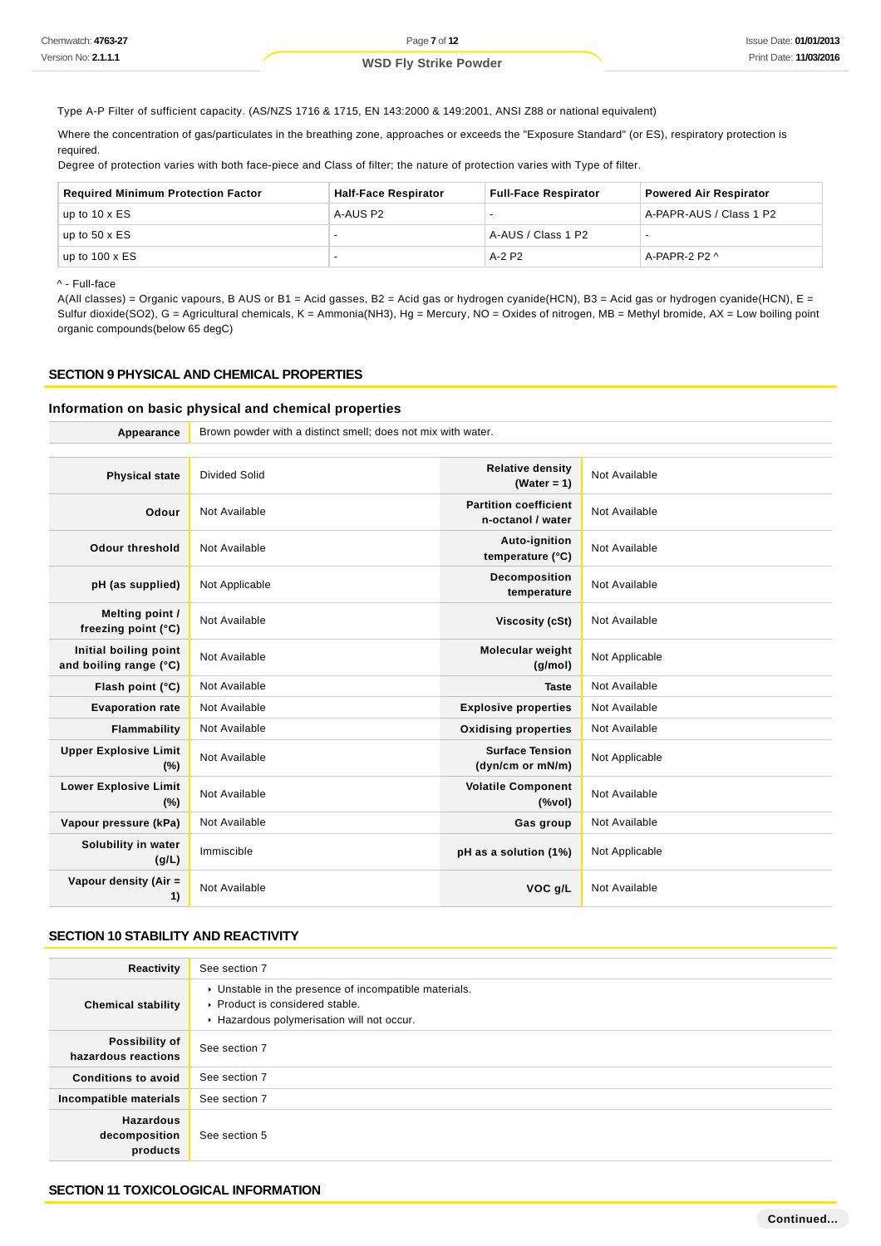Type A-P Filter of sufficient capacity. (AS/NZS 1716 & 1715, EN 143:2000 & 149:2001, ANSI Z88 or national equivalent)

Where the concentration of gas/particulates in the breathing zone, approaches or exceeds the "Exposure Standard" (or ES), respiratory protection is required.

Degree of protection varies with both face-piece and Class of filter; the nature of protection varies with Type of filter.

| <b>Required Minimum Protection Factor</b> | <b>Half-Face Respirator</b> | <b>Full-Face Respirator</b> | <b>Powered Air Respirator</b> |
|-------------------------------------------|-----------------------------|-----------------------------|-------------------------------|
| up to $10 \times ES$                      | A-AUS P2                    | $\overline{\phantom{0}}$    | A-PAPR-AUS / Class 1 P2       |
| up to $50 \times ES$                      |                             | A-AUS / Class 1 P2          |                               |
| up to $100 \times ES$                     |                             | A-2 P2                      | A-PAPR-2 P2 $\wedge$          |

#### ^ - Full-face

A(All classes) = Organic vapours, B AUS or B1 = Acid gasses, B2 = Acid gas or hydrogen cyanide(HCN), B3 = Acid gas or hydrogen cyanide(HCN), E = Sulfur dioxide(SO2), G = Agricultural chemicals, K = Ammonia(NH3), Hg = Mercury, NO = Oxides of nitrogen, MB = Methyl bromide, AX = Low boiling point organic compounds(below 65 degC)

#### **SECTION 9 PHYSICAL AND CHEMICAL PROPERTIES**

#### **Information on basic physical and chemical properties**

| Appearance                                      | Brown powder with a distinct smell; does not mix with water. |                                                                                    |                |
|-------------------------------------------------|--------------------------------------------------------------|------------------------------------------------------------------------------------|----------------|
|                                                 |                                                              |                                                                                    |                |
| <b>Physical state</b>                           | <b>Divided Solid</b>                                         | <b>Relative density</b><br>(Water = $1$ )                                          | Not Available  |
| Odour                                           | Not Available                                                | <b>Partition coefficient</b><br>n-octanol / water                                  | Not Available  |
| Odour threshold                                 | Not Available                                                | Auto-ignition<br>temperature (°C)                                                  | Not Available  |
| pH (as supplied)                                | Not Applicable                                               | Decomposition<br>temperature                                                       | Not Available  |
| Melting point /<br>freezing point (°C)          | Not Available                                                | Viscosity (cSt)                                                                    | Not Available  |
| Initial boiling point<br>and boiling range (°C) | Not Available                                                | Molecular weight<br>(q/mol)                                                        | Not Applicable |
| Flash point (°C)                                | Not Available                                                | <b>Taste</b>                                                                       | Not Available  |
| <b>Evaporation rate</b>                         | Not Available                                                | <b>Explosive properties</b>                                                        | Not Available  |
| Flammability                                    | Not Available                                                | <b>Oxidising properties</b>                                                        | Not Available  |
| <b>Upper Explosive Limit</b><br>(%)             | Not Available                                                | <b>Surface Tension</b><br>(dyn/cm or mN/m)                                         | Not Applicable |
| <b>Lower Explosive Limit</b><br>(%)             | Not Available                                                | <b>Volatile Component</b><br>$(% \mathcal{L}^{\prime }\cap \mathcal{L}^{\prime })$ | Not Available  |
| Vapour pressure (kPa)                           | Not Available                                                | Gas group                                                                          | Not Available  |
| Solubility in water<br>(g/L)                    | Immiscible                                                   | pH as a solution (1%)                                                              | Not Applicable |
| Vapour density (Air =<br>1)                     | Not Available                                                | VOC g/L                                                                            | Not Available  |

## **SECTION 10 STABILITY AND REACTIVITY**

| Reactivity                                    | See section 7                                                                                                                        |
|-----------------------------------------------|--------------------------------------------------------------------------------------------------------------------------------------|
| <b>Chemical stability</b>                     | • Unstable in the presence of incompatible materials.<br>▶ Product is considered stable.<br>Hazardous polymerisation will not occur. |
| Possibility of<br>hazardous reactions         | See section 7                                                                                                                        |
| <b>Conditions to avoid</b>                    | See section 7                                                                                                                        |
| Incompatible materials                        | See section 7                                                                                                                        |
| <b>Hazardous</b><br>decomposition<br>products | See section 5                                                                                                                        |

## **SECTION 11 TOXICOLOGICAL INFORMATION**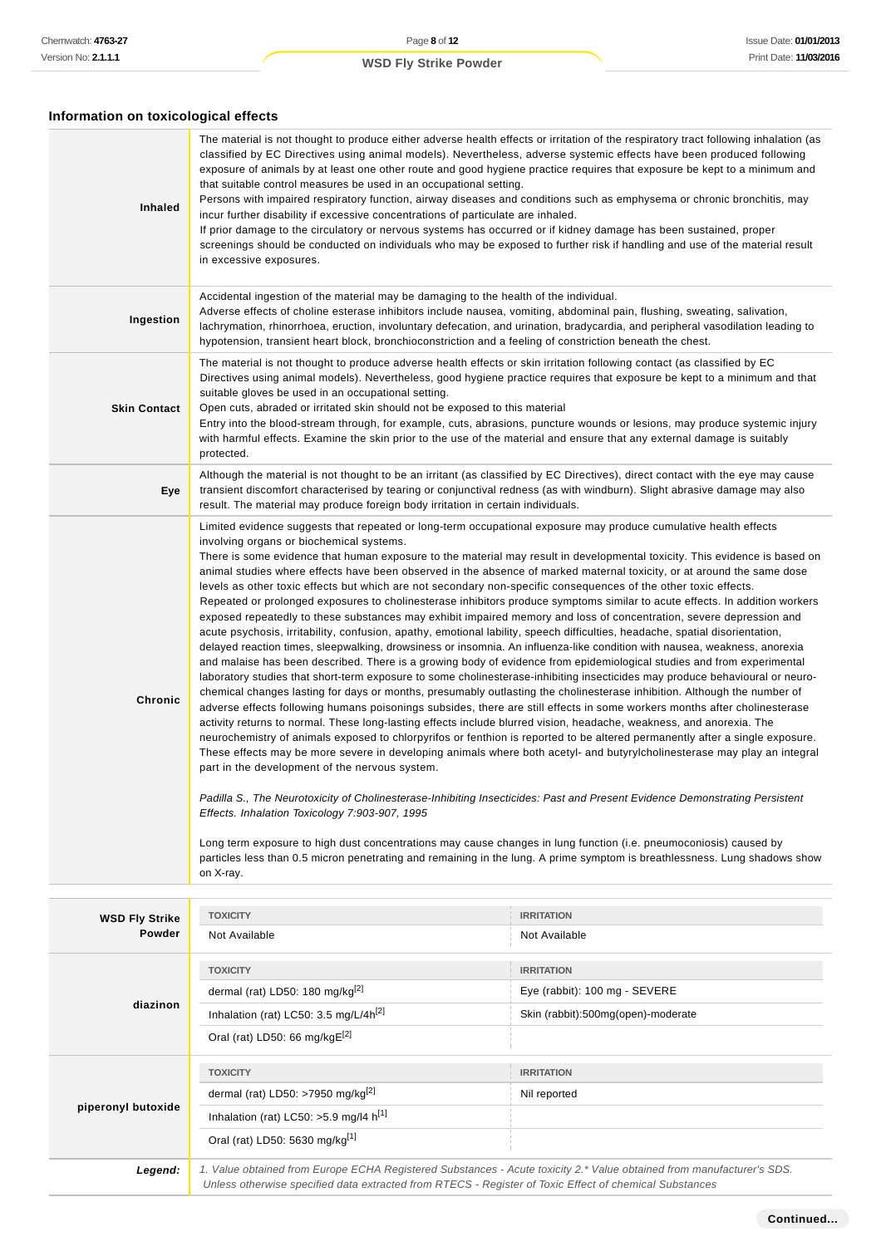## **Information on toxicological effects**

| Inhaled                         | The material is not thought to produce either adverse health effects or irritation of the respiratory tract following inhalation (as<br>classified by EC Directives using animal models). Nevertheless, adverse systemic effects have been produced following<br>exposure of animals by at least one other route and good hygiene practice requires that exposure be kept to a minimum and<br>that suitable control measures be used in an occupational setting.<br>Persons with impaired respiratory function, airway diseases and conditions such as emphysema or chronic bronchitis, may<br>incur further disability if excessive concentrations of particulate are inhaled.<br>If prior damage to the circulatory or nervous systems has occurred or if kidney damage has been sustained, proper<br>screenings should be conducted on individuals who may be exposed to further risk if handling and use of the material result<br>in excessive exposures.                                                                                                                                                                                                                                                                                                                                                                                                                                                                                                                                                                                                                                                                                                                                                                                                                                                                                                                                                                                                                                                                                                                                                                                                                                                                                                                                                                                                                                                                                                       |                                    |  |
|---------------------------------|----------------------------------------------------------------------------------------------------------------------------------------------------------------------------------------------------------------------------------------------------------------------------------------------------------------------------------------------------------------------------------------------------------------------------------------------------------------------------------------------------------------------------------------------------------------------------------------------------------------------------------------------------------------------------------------------------------------------------------------------------------------------------------------------------------------------------------------------------------------------------------------------------------------------------------------------------------------------------------------------------------------------------------------------------------------------------------------------------------------------------------------------------------------------------------------------------------------------------------------------------------------------------------------------------------------------------------------------------------------------------------------------------------------------------------------------------------------------------------------------------------------------------------------------------------------------------------------------------------------------------------------------------------------------------------------------------------------------------------------------------------------------------------------------------------------------------------------------------------------------------------------------------------------------------------------------------------------------------------------------------------------------------------------------------------------------------------------------------------------------------------------------------------------------------------------------------------------------------------------------------------------------------------------------------------------------------------------------------------------------------------------------------------------------------------------------------------------------|------------------------------------|--|
| Ingestion                       | Accidental ingestion of the material may be damaging to the health of the individual.<br>Adverse effects of choline esterase inhibitors include nausea, vomiting, abdominal pain, flushing, sweating, salivation,<br>lachrymation, rhinorrhoea, eruction, involuntary defecation, and urination, bradycardia, and peripheral vasodilation leading to<br>hypotension, transient heart block, bronchioconstriction and a feeling of constriction beneath the chest.                                                                                                                                                                                                                                                                                                                                                                                                                                                                                                                                                                                                                                                                                                                                                                                                                                                                                                                                                                                                                                                                                                                                                                                                                                                                                                                                                                                                                                                                                                                                                                                                                                                                                                                                                                                                                                                                                                                                                                                                    |                                    |  |
| <b>Skin Contact</b>             | The material is not thought to produce adverse health effects or skin irritation following contact (as classified by EC<br>Directives using animal models). Nevertheless, good hygiene practice requires that exposure be kept to a minimum and that<br>suitable gloves be used in an occupational setting.<br>Open cuts, abraded or irritated skin should not be exposed to this material<br>Entry into the blood-stream through, for example, cuts, abrasions, puncture wounds or lesions, may produce systemic injury<br>with harmful effects. Examine the skin prior to the use of the material and ensure that any external damage is suitably<br>protected.                                                                                                                                                                                                                                                                                                                                                                                                                                                                                                                                                                                                                                                                                                                                                                                                                                                                                                                                                                                                                                                                                                                                                                                                                                                                                                                                                                                                                                                                                                                                                                                                                                                                                                                                                                                                    |                                    |  |
| Eye                             | Although the material is not thought to be an irritant (as classified by EC Directives), direct contact with the eye may cause<br>transient discomfort characterised by tearing or conjunctival redness (as with windburn). Slight abrasive damage may also<br>result. The material may produce foreign body irritation in certain individuals.                                                                                                                                                                                                                                                                                                                                                                                                                                                                                                                                                                                                                                                                                                                                                                                                                                                                                                                                                                                                                                                                                                                                                                                                                                                                                                                                                                                                                                                                                                                                                                                                                                                                                                                                                                                                                                                                                                                                                                                                                                                                                                                      |                                    |  |
| Chronic                         | Limited evidence suggests that repeated or long-term occupational exposure may produce cumulative health effects<br>involving organs or biochemical systems.<br>There is some evidence that human exposure to the material may result in developmental toxicity. This evidence is based on<br>animal studies where effects have been observed in the absence of marked maternal toxicity, or at around the same dose<br>levels as other toxic effects but which are not secondary non-specific consequences of the other toxic effects.<br>Repeated or prolonged exposures to cholinesterase inhibitors produce symptoms similar to acute effects. In addition workers<br>exposed repeatedly to these substances may exhibit impaired memory and loss of concentration, severe depression and<br>acute psychosis, irritability, confusion, apathy, emotional lability, speech difficulties, headache, spatial disorientation,<br>delayed reaction times, sleepwalking, drowsiness or insomnia. An influenza-like condition with nausea, weakness, anorexia<br>and malaise has been described. There is a growing body of evidence from epidemiological studies and from experimental<br>laboratory studies that short-term exposure to some cholinesterase-inhibiting insecticides may produce behavioural or neuro-<br>chemical changes lasting for days or months, presumably outlasting the cholinesterase inhibition. Although the number of<br>adverse effects following humans poisonings subsides, there are still effects in some workers months after cholinesterase<br>activity returns to normal. These long-lasting effects include blurred vision, headache, weakness, and anorexia. The<br>neurochemistry of animals exposed to chlorpyrifos or fenthion is reported to be altered permanently after a single exposure.<br>These effects may be more severe in developing animals where both acetyl- and butyrylcholinesterase may play an integral<br>part in the development of the nervous system.<br>Padilla S., The Neurotoxicity of Cholinesterase-Inhibiting Insecticides: Past and Present Evidence Demonstrating Persistent<br>Effects. Inhalation Toxicology 7:903-907, 1995<br>Long term exposure to high dust concentrations may cause changes in lung function (i.e. pneumoconiosis) caused by<br>particles less than 0.5 micron penetrating and remaining in the lung. A prime symptom is breathlessness. Lung shadows show<br>on X-ray. |                                    |  |
|                                 | <b>TOXICITY</b>                                                                                                                                                                                                                                                                                                                                                                                                                                                                                                                                                                                                                                                                                                                                                                                                                                                                                                                                                                                                                                                                                                                                                                                                                                                                                                                                                                                                                                                                                                                                                                                                                                                                                                                                                                                                                                                                                                                                                                                                                                                                                                                                                                                                                                                                                                                                                                                                                                                      | <b>IRRITATION</b>                  |  |
| <b>WSD Fly Strike</b><br>Powder | Not Available                                                                                                                                                                                                                                                                                                                                                                                                                                                                                                                                                                                                                                                                                                                                                                                                                                                                                                                                                                                                                                                                                                                                                                                                                                                                                                                                                                                                                                                                                                                                                                                                                                                                                                                                                                                                                                                                                                                                                                                                                                                                                                                                                                                                                                                                                                                                                                                                                                                        | Not Available                      |  |
|                                 | <b>TOXICITY</b>                                                                                                                                                                                                                                                                                                                                                                                                                                                                                                                                                                                                                                                                                                                                                                                                                                                                                                                                                                                                                                                                                                                                                                                                                                                                                                                                                                                                                                                                                                                                                                                                                                                                                                                                                                                                                                                                                                                                                                                                                                                                                                                                                                                                                                                                                                                                                                                                                                                      | <b>IRRITATION</b>                  |  |
|                                 | dermal (rat) LD50: 180 mg/kg[2]                                                                                                                                                                                                                                                                                                                                                                                                                                                                                                                                                                                                                                                                                                                                                                                                                                                                                                                                                                                                                                                                                                                                                                                                                                                                                                                                                                                                                                                                                                                                                                                                                                                                                                                                                                                                                                                                                                                                                                                                                                                                                                                                                                                                                                                                                                                                                                                                                                      | Eye (rabbit): 100 mg - SEVERE      |  |
| diazinon                        | Inhalation (rat) LC50: 3.5 mg/L/4h <sup>[2]</sup>                                                                                                                                                                                                                                                                                                                                                                                                                                                                                                                                                                                                                                                                                                                                                                                                                                                                                                                                                                                                                                                                                                                                                                                                                                                                                                                                                                                                                                                                                                                                                                                                                                                                                                                                                                                                                                                                                                                                                                                                                                                                                                                                                                                                                                                                                                                                                                                                                    | Skin (rabbit):500mg(open)-moderate |  |
|                                 | Oral (rat) LD50: 66 mg/kgE <sup>[2]</sup>                                                                                                                                                                                                                                                                                                                                                                                                                                                                                                                                                                                                                                                                                                                                                                                                                                                                                                                                                                                                                                                                                                                                                                                                                                                                                                                                                                                                                                                                                                                                                                                                                                                                                                                                                                                                                                                                                                                                                                                                                                                                                                                                                                                                                                                                                                                                                                                                                            |                                    |  |
|                                 | <b>TOXICITY</b>                                                                                                                                                                                                                                                                                                                                                                                                                                                                                                                                                                                                                                                                                                                                                                                                                                                                                                                                                                                                                                                                                                                                                                                                                                                                                                                                                                                                                                                                                                                                                                                                                                                                                                                                                                                                                                                                                                                                                                                                                                                                                                                                                                                                                                                                                                                                                                                                                                                      | <b>IRRITATION</b>                  |  |
|                                 | dermal (rat) LD50: >7950 mg/kg <sup>[2]</sup>                                                                                                                                                                                                                                                                                                                                                                                                                                                                                                                                                                                                                                                                                                                                                                                                                                                                                                                                                                                                                                                                                                                                                                                                                                                                                                                                                                                                                                                                                                                                                                                                                                                                                                                                                                                                                                                                                                                                                                                                                                                                                                                                                                                                                                                                                                                                                                                                                        | Nil reported                       |  |
| piperonyl butoxide              | Inhalation (rat) LC50: >5.9 mg/l4 $h^{[1]}$                                                                                                                                                                                                                                                                                                                                                                                                                                                                                                                                                                                                                                                                                                                                                                                                                                                                                                                                                                                                                                                                                                                                                                                                                                                                                                                                                                                                                                                                                                                                                                                                                                                                                                                                                                                                                                                                                                                                                                                                                                                                                                                                                                                                                                                                                                                                                                                                                          |                                    |  |
|                                 | Oral (rat) LD50: 5630 mg/kg <sup>[1]</sup>                                                                                                                                                                                                                                                                                                                                                                                                                                                                                                                                                                                                                                                                                                                                                                                                                                                                                                                                                                                                                                                                                                                                                                                                                                                                                                                                                                                                                                                                                                                                                                                                                                                                                                                                                                                                                                                                                                                                                                                                                                                                                                                                                                                                                                                                                                                                                                                                                           |                                    |  |
| Legend:                         | 1. Value obtained from Europe ECHA Registered Substances - Acute toxicity 2.* Value obtained from manufacturer's SDS.<br>Unless otherwise specified data extracted from RTECS - Register of Toxic Effect of chemical Substances                                                                                                                                                                                                                                                                                                                                                                                                                                                                                                                                                                                                                                                                                                                                                                                                                                                                                                                                                                                                                                                                                                                                                                                                                                                                                                                                                                                                                                                                                                                                                                                                                                                                                                                                                                                                                                                                                                                                                                                                                                                                                                                                                                                                                                      |                                    |  |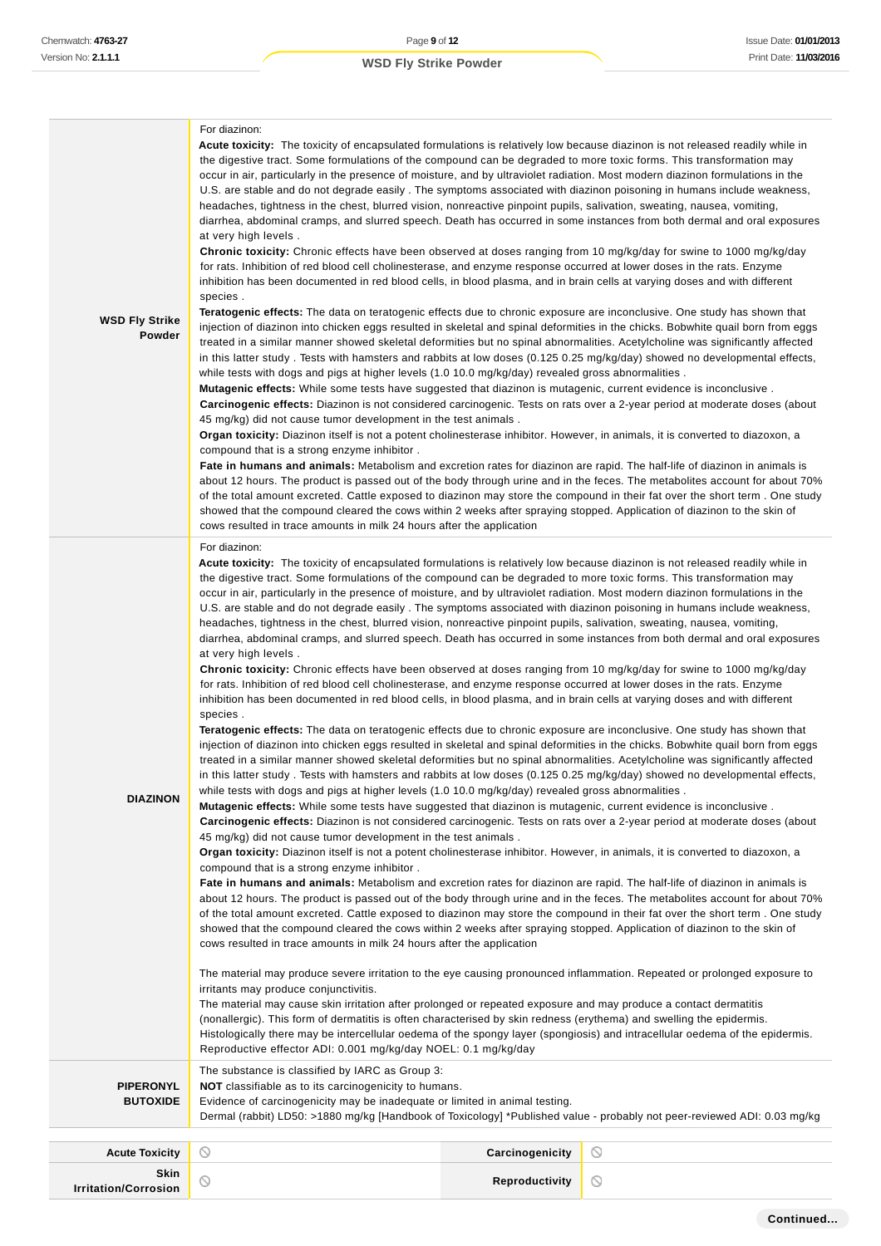| <b>WSD Fly Strike</b><br>Powder     | Acute toxicity: The toxicity of encapsulated formulations is relatively low because diazinon is not released readily while in<br>the digestive tract. Some formulations of the compound can be degraded to more toxic forms. This transformation may<br>occur in air, particularly in the presence of moisture, and by ultraviolet radiation. Most modern diazinon formulations in the<br>U.S. are stable and do not degrade easily. The symptoms associated with diazinon poisoning in humans include weakness,<br>headaches, tightness in the chest, blurred vision, nonreactive pinpoint pupils, salivation, sweating, nausea, vomiting,<br>diarrhea, abdominal cramps, and slurred speech. Death has occurred in some instances from both dermal and oral exposures<br>at very high levels.<br>Chronic toxicity: Chronic effects have been observed at doses ranging from 10 mg/kg/day for swine to 1000 mg/kg/day<br>for rats. Inhibition of red blood cell cholinesterase, and enzyme response occurred at lower doses in the rats. Enzyme<br>inhibition has been documented in red blood cells, in blood plasma, and in brain cells at varying doses and with different<br>species.<br>Teratogenic effects: The data on teratogenic effects due to chronic exposure are inconclusive. One study has shown that<br>injection of diazinon into chicken eggs resulted in skeletal and spinal deformities in the chicks. Bobwhite quail born from eggs<br>treated in a similar manner showed skeletal deformities but no spinal abnormalities. Acetylcholine was significantly affected<br>in this latter study. Tests with hamsters and rabbits at low doses (0.125 0.25 mg/kg/day) showed no developmental effects,<br>while tests with dogs and pigs at higher levels (1.0 10.0 mg/kg/day) revealed gross abnormalities.<br><b>Mutagenic effects:</b> While some tests have suggested that diazinon is mutagenic, current evidence is inconclusive.<br>Carcinogenic effects: Diazinon is not considered carcinogenic. Tests on rats over a 2-year period at moderate doses (about<br>45 mg/kg) did not cause tumor development in the test animals.<br>Organ toxicity: Diazinon itself is not a potent cholinesterase inhibitor. However, in animals, it is converted to diazoxon, a<br>compound that is a strong enzyme inhibitor.<br>Fate in humans and animals: Metabolism and excretion rates for diazinon are rapid. The half-life of diazinon in animals is<br>about 12 hours. The product is passed out of the body through urine and in the feces. The metabolites account for about 70%<br>of the total amount excreted. Cattle exposed to diazinon may store the compound in their fat over the short term. One study<br>showed that the compound cleared the cows within 2 weeks after spraying stopped. Application of diazinon to the skin of<br>cows resulted in trace amounts in milk 24 hours after the application                                                                                                                                                                                                                                                                                                                                                                                                                                                                                                                                                                                                                                     |                 |         |
|-------------------------------------|-------------------------------------------------------------------------------------------------------------------------------------------------------------------------------------------------------------------------------------------------------------------------------------------------------------------------------------------------------------------------------------------------------------------------------------------------------------------------------------------------------------------------------------------------------------------------------------------------------------------------------------------------------------------------------------------------------------------------------------------------------------------------------------------------------------------------------------------------------------------------------------------------------------------------------------------------------------------------------------------------------------------------------------------------------------------------------------------------------------------------------------------------------------------------------------------------------------------------------------------------------------------------------------------------------------------------------------------------------------------------------------------------------------------------------------------------------------------------------------------------------------------------------------------------------------------------------------------------------------------------------------------------------------------------------------------------------------------------------------------------------------------------------------------------------------------------------------------------------------------------------------------------------------------------------------------------------------------------------------------------------------------------------------------------------------------------------------------------------------------------------------------------------------------------------------------------------------------------------------------------------------------------------------------------------------------------------------------------------------------------------------------------------------------------------------------------------------------------------------------------------------------------------------------------------------------------------------------------------------------------------------------------------------------------------------------------------------------------------------------------------------------------------------------------------------------------------------------------------------------------------------------------------------------------------------------------------------------------------------------------------------------------------------------------------------------------------------------------------------------------------------------------------------------------------------------------------------------------------------------------------------------------------------------------------------------------------------------------------------------------------------------------------------------------------------------------------------------------------------------------------------------------------------------------------------------------------|-----------------|---------|
| <b>DIAZINON</b>                     | For diazinon:<br>Acute toxicity: The toxicity of encapsulated formulations is relatively low because diazinon is not released readily while in<br>the digestive tract. Some formulations of the compound can be degraded to more toxic forms. This transformation may<br>occur in air, particularly in the presence of moisture, and by ultraviolet radiation. Most modern diazinon formulations in the<br>U.S. are stable and do not degrade easily. The symptoms associated with diazinon poisoning in humans include weakness,<br>headaches, tightness in the chest, blurred vision, nonreactive pinpoint pupils, salivation, sweating, nausea, vomiting,<br>diarrhea, abdominal cramps, and slurred speech. Death has occurred in some instances from both dermal and oral exposures<br>at very high levels.<br>Chronic toxicity: Chronic effects have been observed at doses ranging from 10 mg/kg/day for swine to 1000 mg/kg/day<br>for rats. Inhibition of red blood cell cholinesterase, and enzyme response occurred at lower doses in the rats. Enzyme<br>inhibition has been documented in red blood cells, in blood plasma, and in brain cells at varying doses and with different<br>species.<br>Teratogenic effects: The data on teratogenic effects due to chronic exposure are inconclusive. One study has shown that<br>injection of diazinon into chicken eggs resulted in skeletal and spinal deformities in the chicks. Bobwhite quail born from eggs<br>treated in a similar manner showed skeletal deformities but no spinal abnormalities. Acetylcholine was significantly affected<br>in this latter study. Tests with hamsters and rabbits at low doses (0.125 0.25 mg/kg/day) showed no developmental effects,<br>while tests with dogs and pigs at higher levels (1.0 10.0 mg/kg/day) revealed gross abnormalities.<br><b>Mutagenic effects:</b> While some tests have suggested that diazinon is mutagenic, current evidence is inconclusive.<br>Carcinogenic effects: Diazinon is not considered carcinogenic. Tests on rats over a 2-year period at moderate doses (about<br>45 mg/kg) did not cause tumor development in the test animals.<br>Organ toxicity: Diazinon itself is not a potent cholinesterase inhibitor. However, in animals, it is converted to diazoxon, a<br>compound that is a strong enzyme inhibitor.<br>Fate in humans and animals: Metabolism and excretion rates for diazinon are rapid. The half-life of diazinon in animals is<br>about 12 hours. The product is passed out of the body through urine and in the feces. The metabolites account for about 70%<br>of the total amount excreted. Cattle exposed to diazinon may store the compound in their fat over the short term. One study<br>showed that the compound cleared the cows within 2 weeks after spraying stopped. Application of diazinon to the skin of<br>cows resulted in trace amounts in milk 24 hours after the application<br>The material may produce severe irritation to the eye causing pronounced inflammation. Repeated or prolonged exposure to<br>irritants may produce conjunctivitis.<br>The material may cause skin irritation after prolonged or repeated exposure and may produce a contact dermatitis<br>(nonallergic). This form of dermatitis is often characterised by skin redness (erythema) and swelling the epidermis.<br>Histologically there may be intercellular oedema of the spongy layer (spongiosis) and intracellular oedema of the epidermis.<br>Reproductive effector ADI: 0.001 mg/kg/day NOEL: 0.1 mg/kg/day |                 |         |
| <b>PIPERONYL</b><br><b>BUTOXIDE</b> | The substance is classified by IARC as Group 3:<br><b>NOT</b> classifiable as to its carcinogenicity to humans.<br>Evidence of carcinogenicity may be inadequate or limited in animal testing.<br>Dermal (rabbit) LD50: >1880 mg/kg [Handbook of Toxicology] *Published value - probably not peer-reviewed ADI: 0.03 mg/kg                                                                                                                                                                                                                                                                                                                                                                                                                                                                                                                                                                                                                                                                                                                                                                                                                                                                                                                                                                                                                                                                                                                                                                                                                                                                                                                                                                                                                                                                                                                                                                                                                                                                                                                                                                                                                                                                                                                                                                                                                                                                                                                                                                                                                                                                                                                                                                                                                                                                                                                                                                                                                                                                                                                                                                                                                                                                                                                                                                                                                                                                                                                                                                                                                                                    |                 |         |
|                                     |                                                                                                                                                                                                                                                                                                                                                                                                                                                                                                                                                                                                                                                                                                                                                                                                                                                                                                                                                                                                                                                                                                                                                                                                                                                                                                                                                                                                                                                                                                                                                                                                                                                                                                                                                                                                                                                                                                                                                                                                                                                                                                                                                                                                                                                                                                                                                                                                                                                                                                                                                                                                                                                                                                                                                                                                                                                                                                                                                                                                                                                                                                                                                                                                                                                                                                                                                                                                                                                                                                                                                                               |                 |         |
| <b>Acute Toxicity</b>               | $\circ$                                                                                                                                                                                                                                                                                                                                                                                                                                                                                                                                                                                                                                                                                                                                                                                                                                                                                                                                                                                                                                                                                                                                                                                                                                                                                                                                                                                                                                                                                                                                                                                                                                                                                                                                                                                                                                                                                                                                                                                                                                                                                                                                                                                                                                                                                                                                                                                                                                                                                                                                                                                                                                                                                                                                                                                                                                                                                                                                                                                                                                                                                                                                                                                                                                                                                                                                                                                                                                                                                                                                                                       | Carcinogenicity | O       |
| Skin<br><b>Irritation/Corrosion</b> | $\circ$                                                                                                                                                                                                                                                                                                                                                                                                                                                                                                                                                                                                                                                                                                                                                                                                                                                                                                                                                                                                                                                                                                                                                                                                                                                                                                                                                                                                                                                                                                                                                                                                                                                                                                                                                                                                                                                                                                                                                                                                                                                                                                                                                                                                                                                                                                                                                                                                                                                                                                                                                                                                                                                                                                                                                                                                                                                                                                                                                                                                                                                                                                                                                                                                                                                                                                                                                                                                                                                                                                                                                                       | Reproductivity  | $\circ$ |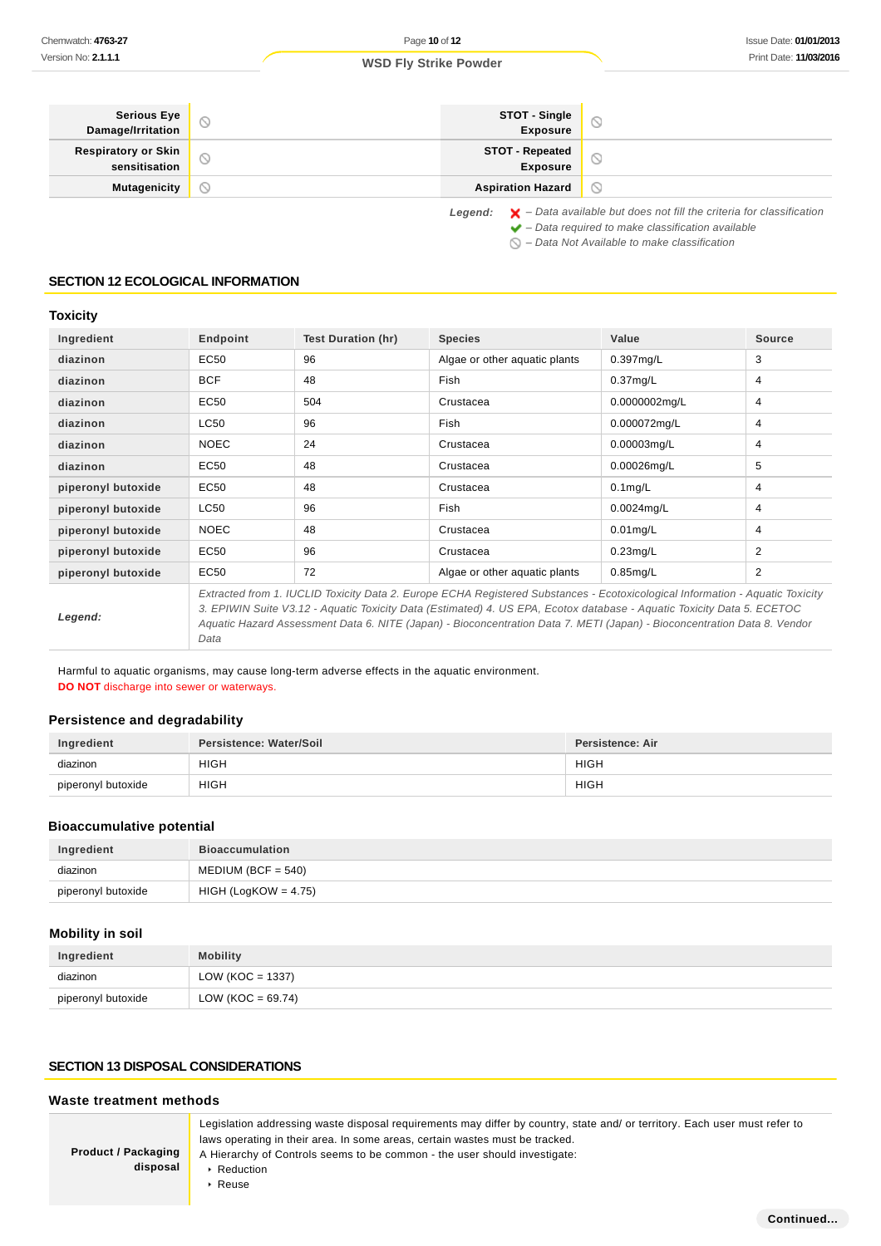#### **Serious Eye STOT - Single**  $\circlearrowright$  $\circledcirc$ **Exposure Damage/Irritation Respiratory or Skin STOT - Repeated**  $\circ$  $\circ$ **sensitisation Exposure Mutagenicity Aspiration Hazard**  $\circledcirc$ Legend:  $\mathsf{X}$  - Data available but does not fill the criteria for classification

 $\blacktriangleright$  – Data required to make classification available

 $\bigcirc$  – Data Not Available to make classification

## **SECTION 12 ECOLOGICAL INFORMATION**

## **Toxicity**

| Ingredient         | Endpoint    | <b>Test Duration (hr)</b> | <b>Species</b>                                                                                                                                                                                                                                              | Value         | <b>Source</b> |
|--------------------|-------------|---------------------------|-------------------------------------------------------------------------------------------------------------------------------------------------------------------------------------------------------------------------------------------------------------|---------------|---------------|
| diazinon           | EC50        | 96                        | Algae or other aquatic plants                                                                                                                                                                                                                               | $0.397$ mg/L  | 3             |
| diazinon           | <b>BCF</b>  | 48                        | Fish                                                                                                                                                                                                                                                        | $0.37$ mg/L   | 4             |
| diazinon           | EC50        | 504                       | Crustacea                                                                                                                                                                                                                                                   | 0.0000002mg/L | 4             |
| diazinon           | LC50        | 96                        | Fish                                                                                                                                                                                                                                                        | 0.000072mg/L  | 4             |
| diazinon           | <b>NOEC</b> | 24                        | Crustacea                                                                                                                                                                                                                                                   | 0.00003mg/L   | 4             |
| diazinon           | EC50        | 48                        | Crustacea                                                                                                                                                                                                                                                   | 0.00026mg/L   | 5             |
| piperonyl butoxide | EC50        | 48                        | Crustacea                                                                                                                                                                                                                                                   | $0.1$ mg/L    | 4             |
| piperonyl butoxide | LC50        | 96                        | <b>Fish</b>                                                                                                                                                                                                                                                 | $0.0024$ mg/L | 4             |
| piperonyl butoxide | <b>NOEC</b> | 48                        | Crustacea                                                                                                                                                                                                                                                   | $0.01$ mg/L   | 4             |
| piperonyl butoxide | EC50        | 96                        | Crustacea                                                                                                                                                                                                                                                   | $0.23$ mg/L   | 2             |
| piperonyl butoxide | <b>EC50</b> | 72                        | Algae or other aquatic plants                                                                                                                                                                                                                               | $0.85$ mg/L   | 2             |
|                    |             |                           | Extracted from 1. IUCLID Toxicity Data 2. Europe ECHA Registered Substances - Ecotoxicological Information - Aguatic Toxicity<br>O EDIMINI Ovida 1/0.40 - Associate Tarricho Dada (Estimatas)), A. HO EDA Estatubularea - Associate Tarricho Dada E. EOETOO |               |               |

**Legend:**

3. EPIWIN Suite V3.12 - Aquatic Toxicity Data (Estimated) 4. US EPA, Ecotox database - Aquatic Toxicity Data 5. ECETOC Aquatic Hazard Assessment Data 6. NITE (Japan) - Bioconcentration Data 7. METI (Japan) - Bioconcentration Data 8. Vendor Data

Harmful to aquatic organisms, may cause long-term adverse effects in the aquatic environment.

**DO NOT** discharge into sewer or waterways.

## **Persistence and degradability**

| Ingredient         | Persistence: Water/Soil | Persistence: Air |
|--------------------|-------------------------|------------------|
| diazinon           | <b>HIGH</b>             | <b>HIGH</b>      |
| piperonyl butoxide | <b>HIGH</b>             | <b>HIGH</b>      |

#### **Bioaccumulative potential**

| Ingredient         | <b>Bioaccumulation</b> |
|--------------------|------------------------|
| diazinon           | $MEDIUM (BCF = 540)$   |
| piperonyl butoxide | $HIGH (LogKOW = 4.75)$ |

## **Mobility in soil**

| Ingredient         | <b>Mobility</b>      |
|--------------------|----------------------|
| diazinon           | LOW ( $KOC = 1337$ ) |
| piperonyl butoxide | LOW (KOC = $69.74$ ) |

#### **SECTION 13 DISPOSAL CONSIDERATIONS**

#### **Waste treatment methods**

| <b>Product / Packaging</b><br>disposal | Legislation addressing waste disposal requirements may differ by country, state and/ or territory. Each user must refer to<br>laws operating in their area. In some areas, certain wastes must be tracked.<br>A Hierarchy of Controls seems to be common - the user should investigate:<br>Reduction |
|----------------------------------------|------------------------------------------------------------------------------------------------------------------------------------------------------------------------------------------------------------------------------------------------------------------------------------------------------|
|                                        | Reuse                                                                                                                                                                                                                                                                                                |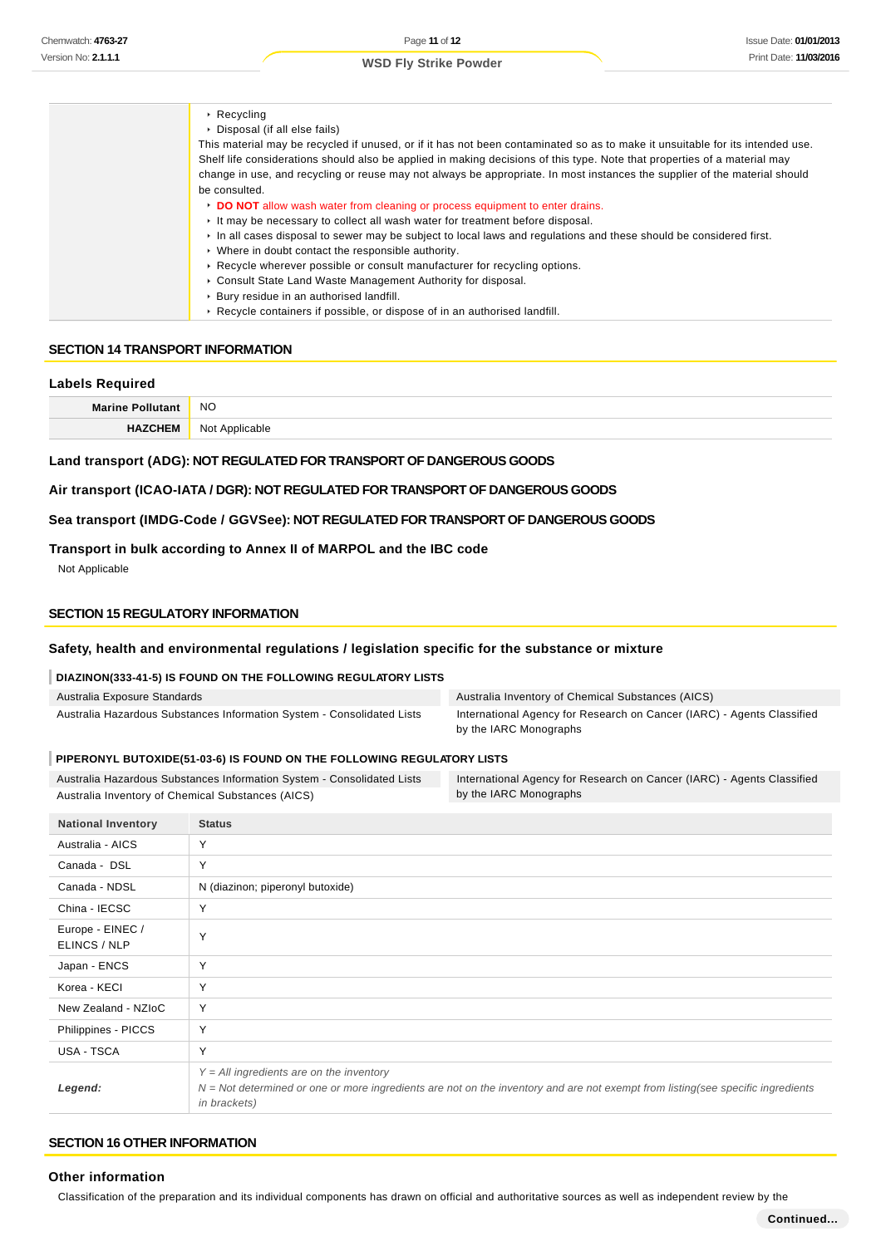| $\triangleright$ Recycling                                                                                                    |
|-------------------------------------------------------------------------------------------------------------------------------|
| Disposal (if all else fails)                                                                                                  |
| This material may be recycled if unused, or if it has not been contaminated so as to make it unsuitable for its intended use. |
| Shelf life considerations should also be applied in making decisions of this type. Note that properties of a material may     |
| change in use, and recycling or reuse may not always be appropriate. In most instances the supplier of the material should    |
| be consulted.                                                                                                                 |
| DO NOT allow wash water from cleaning or process equipment to enter drains.                                                   |
| It may be necessary to collect all wash water for treatment before disposal.                                                  |
| In all cases disposal to sewer may be subject to local laws and regulations and these should be considered first.             |
| • Where in doubt contact the responsible authority.                                                                           |
| ► Recycle wherever possible or consult manufacturer for recycling options.                                                    |
| • Consult State Land Waste Management Authority for disposal.                                                                 |
| ▶ Bury residue in an authorised landfill.                                                                                     |
| ► Recycle containers if possible, or dispose of in an authorised landfill.                                                    |

#### **SECTION 14 TRANSPORT INFORMATION**

#### **Labels Required**

| <b>Marin</b> | NO<br>$\sim$ |
|--------------|--------------|
|              | 10           |

### **Land transport (ADG): NOT REGULATED FOR TRANSPORT OF DANGEROUS GOODS**

#### **Air transport (ICAO-IATA / DGR): NOT REGULATED FOR TRANSPORT OF DANGEROUS GOODS**

**Sea transport (IMDG-Code / GGVSee): NOT REGULATED FOR TRANSPORT OF DANGEROUS GOODS**

## **Transport in bulk according to Annex II of MARPOL and the IBC code**

Not Applicable

## **SECTION 15 REGULATORY INFORMATION**

## **Safety, health and environmental regulations / legislation specific for the substance or mixture**

## **DIAZINON(333-41-5) IS FOUND ON THE FOLLOWING REGULATORY LISTS**

| Australia Exposure Standards                                           | Australia Inventory of Chemical Substances (AICS)                                                |
|------------------------------------------------------------------------|--------------------------------------------------------------------------------------------------|
| Australia Hazardous Substances Information System - Consolidated Lists | International Agency for Research on Cancer (IARC) - Agents Classified<br>by the IARC Monographs |

#### **PIPERONYL BUTOXIDE(51-03-6) IS FOUND ON THE FOLLOWING REGULATORY LISTS**

| Australia Hazardous Substances Information System - Consolidated Lists | International Agency for Research on Cancer (IARC) - Agents Classified |
|------------------------------------------------------------------------|------------------------------------------------------------------------|
| Australia Inventory of Chemical Substances (AICS)                      | by the IARC Monographs                                                 |

| <b>National Inventory</b>        | <b>Status</b>                                                                                                                                                                                           |
|----------------------------------|---------------------------------------------------------------------------------------------------------------------------------------------------------------------------------------------------------|
| Australia - AICS                 | Y                                                                                                                                                                                                       |
| Canada - DSL                     | Y                                                                                                                                                                                                       |
| Canada - NDSL                    | N (diazinon; piperonyl butoxide)                                                                                                                                                                        |
| China - IECSC                    | Y                                                                                                                                                                                                       |
| Europe - EINEC /<br>ELINCS / NLP | Y                                                                                                                                                                                                       |
| Japan - ENCS                     | Y                                                                                                                                                                                                       |
| Korea - KECI                     | Y                                                                                                                                                                                                       |
| New Zealand - NZIoC              | Y                                                                                                                                                                                                       |
| Philippines - PICCS              | Y                                                                                                                                                                                                       |
| USA - TSCA                       | Y                                                                                                                                                                                                       |
| Legend:                          | $Y = All$ ingredients are on the inventory<br>$N = Not determined$ or one or more ingredients are not on the inventory and are not exempt from listing(see specific ingredients<br><i>in brackets</i> ) |

## **SECTION 16 OTHER INFORMATION**

## **Other information**

Classification of the preparation and its individual components has drawn on official and authoritative sources as well as independent review by the